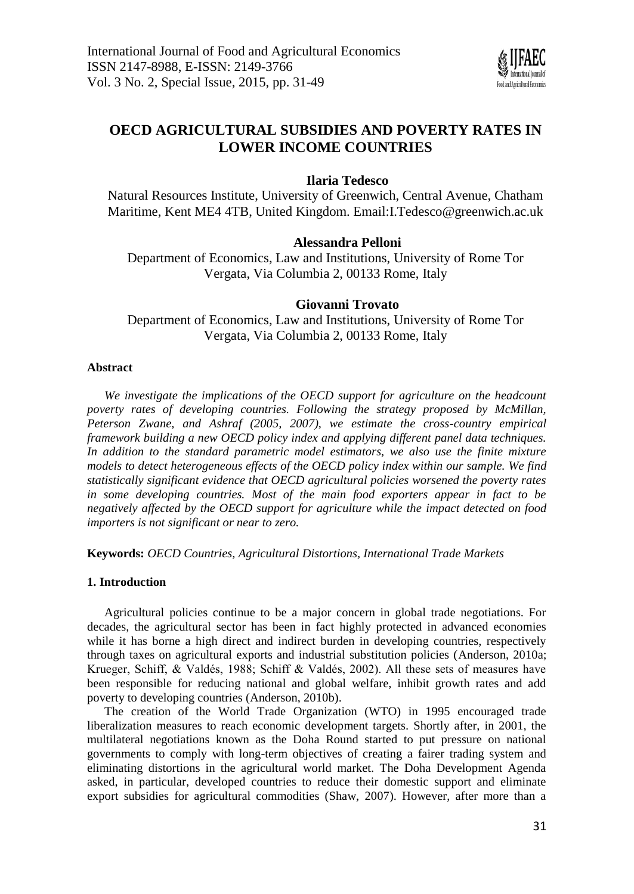

# **OECD AGRICULTURAL SUBSIDIES AND POVERTY RATES IN LOWER INCOME COUNTRIES**

## **Ilaria Tedesco**

Natural Resources Institute, University of Greenwich, Central Avenue, Chatham Maritime, Kent ME4 4TB, United Kingdom. Email:I.Tedesco@greenwich.ac.uk

## **Alessandra Pelloni**

Department of Economics, Law and Institutions, University of Rome Tor Vergata, Via Columbia 2, 00133 Rome, Italy

## **Giovanni Trovato**

Department of Economics, Law and Institutions, University of Rome Tor Vergata, Via Columbia 2, 00133 Rome, Italy

### **Abstract**

We investigate the implications of the OECD support for agriculture on the headcount *poverty rates of developing countries. Following the strategy proposed by McMillan, Peterson Zwane, and Ashraf (2005, 2007), we estimate the cross-country empirical framework building a new OECD policy index and applying different panel data techniques. In addition to the standard parametric model estimators, we also use the finite mixture models to detect heterogeneous effects of the OECD policy index within our sample. We find statistically significant evidence that OECD agricultural policies worsened the poverty rates in some developing countries. Most of the main food exporters appear in fact to be negatively affected by the OECD support for agriculture while the impact detected on food importers is not significant or near to zero.*

**Keywords:** *OECD Countries, Agricultural Distortions, International Trade Markets*

## **1. Introduction**

Agricultural policies continue to be a major concern in global trade negotiations. For decades, the agricultural sector has been in fact highly protected in advanced economies while it has borne a high direct and indirect burden in developing countries, respectively through taxes on agricultural exports and industrial substitution policies (Anderson, 2010a; Krueger, Schiff, & Valdés, 1988; Schiff & Valdés, 2002). All these sets of measures have been responsible for reducing national and global welfare, inhibit growth rates and add poverty to developing countries (Anderson, 2010b).

The creation of the World Trade Organization (WTO) in 1995 encouraged trade liberalization measures to reach economic development targets. Shortly after, in 2001, the multilateral negotiations known as the Doha Round started to put pressure on national governments to comply with long-term objectives of creating a fairer trading system and eliminating distortions in the agricultural world market. The Doha Development Agenda asked, in particular, developed countries to reduce their domestic support and eliminate export subsidies for agricultural commodities (Shaw, 2007). However, after more than a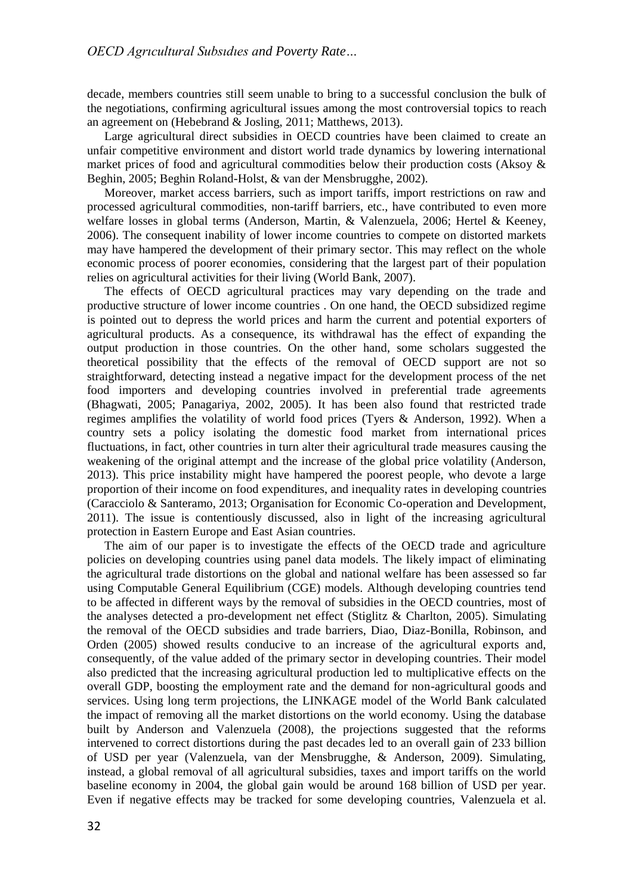decade, members countries still seem unable to bring to a successful conclusion the bulk of the negotiations, confirming agricultural issues among the most controversial topics to reach an agreement on (Hebebrand & Josling, 2011; Matthews, 2013).

Large agricultural direct subsidies in OECD countries have been claimed to create an unfair competitive environment and distort world trade dynamics by lowering international market prices of food and agricultural commodities below their production costs (Aksoy  $\&$ Beghin, 2005; Beghin Roland-Holst, & van der Mensbrugghe, 2002).

Moreover, market access barriers, such as import tariffs, import restrictions on raw and processed agricultural commodities, non-tariff barriers, etc., have contributed to even more welfare losses in global terms (Anderson, Martin, & Valenzuela, 2006; Hertel & Keeney, 2006). The consequent inability of lower income countries to compete on distorted markets may have hampered the development of their primary sector. This may reflect on the whole economic process of poorer economies, considering that the largest part of their population relies on agricultural activities for their living (World Bank, 2007).

The effects of OECD agricultural practices may vary depending on the trade and productive structure of lower income countries . On one hand, the OECD subsidized regime is pointed out to depress the world prices and harm the current and potential exporters of agricultural products. As a consequence, its withdrawal has the effect of expanding the output production in those countries. On the other hand, some scholars suggested the theoretical possibility that the effects of the removal of OECD support are not so straightforward, detecting instead a negative impact for the development process of the net food importers and developing countries involved in preferential trade agreements (Bhagwati, 2005; Panagariya, 2002, 2005). It has been also found that restricted trade regimes amplifies the volatility of world food prices (Tyers & Anderson, 1992). When a country sets a policy isolating the domestic food market from international prices fluctuations, in fact, other countries in turn alter their agricultural trade measures causing the weakening of the original attempt and the increase of the global price volatility (Anderson, 2013). This price instability might have hampered the poorest people, who devote a large proportion of their income on food expenditures, and inequality rates in developing countries (Caracciolo & Santeramo, 2013; Organisation for Economic Co-operation and Development, 2011). The issue is contentiously discussed, also in light of the increasing agricultural protection in Eastern Europe and East Asian countries.

The aim of our paper is to investigate the effects of the OECD trade and agriculture policies on developing countries using panel data models. The likely impact of eliminating the agricultural trade distortions on the global and national welfare has been assessed so far using Computable General Equilibrium (CGE) models. Although developing countries tend to be affected in different ways by the removal of subsidies in the OECD countries, most of the analyses detected a pro-development net effect (Stiglitz & Charlton, 2005). Simulating the removal of the OECD subsidies and trade barriers, Diao, Diaz-Bonilla, Robinson, and Orden (2005) showed results conducive to an increase of the agricultural exports and, consequently, of the value added of the primary sector in developing countries. Their model also predicted that the increasing agricultural production led to multiplicative effects on the overall GDP, boosting the employment rate and the demand for non-agricultural goods and services. Using long term projections, the LINKAGE model of the World Bank calculated the impact of removing all the market distortions on the world economy. Using the database built by Anderson and Valenzuela (2008), the projections suggested that the reforms intervened to correct distortions during the past decades led to an overall gain of 233 billion of USD per year (Valenzuela, van der Mensbrugghe, & Anderson, 2009). Simulating, instead, a global removal of all agricultural subsidies, taxes and import tariffs on the world baseline economy in 2004, the global gain would be around 168 billion of USD per year. Even if negative effects may be tracked for some developing countries, Valenzuela et al.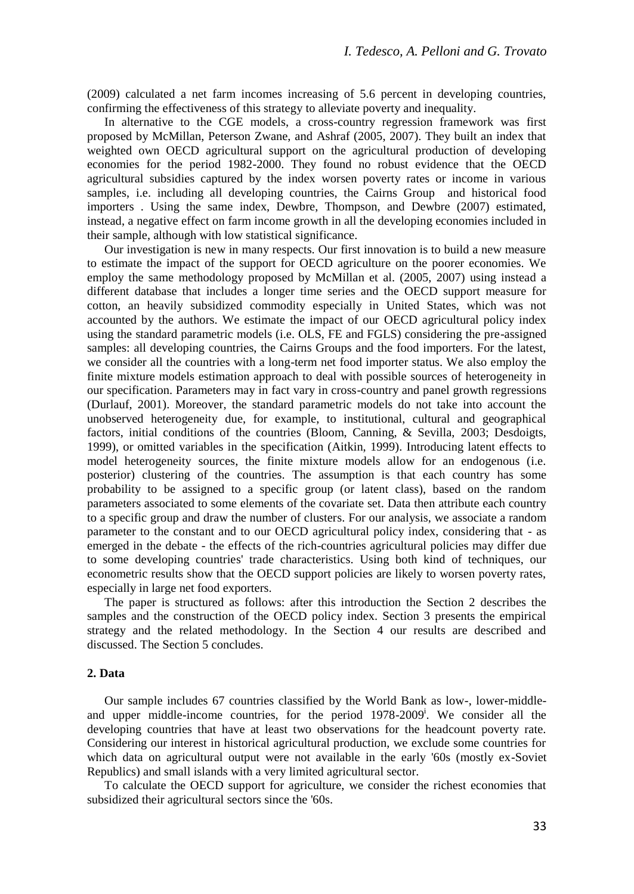(2009) calculated a net farm incomes increasing of 5.6 percent in developing countries, confirming the effectiveness of this strategy to alleviate poverty and inequality.

In alternative to the CGE models, a cross-country regression framework was first proposed by McMillan, Peterson Zwane, and Ashraf (2005, 2007). They built an index that weighted own OECD agricultural support on the agricultural production of developing economies for the period 1982-2000. They found no robust evidence that the OECD agricultural subsidies captured by the index worsen poverty rates or income in various samples, i.e. including all developing countries, the Cairns Group and historical food importers . Using the same index, Dewbre, Thompson, and Dewbre (2007) estimated, instead, a negative effect on farm income growth in all the developing economies included in their sample, although with low statistical significance.

Our investigation is new in many respects. Our first innovation is to build a new measure to estimate the impact of the support for OECD agriculture on the poorer economies. We employ the same methodology proposed by McMillan et al. (2005, 2007) using instead a different database that includes a longer time series and the OECD support measure for cotton, an heavily subsidized commodity especially in United States, which was not accounted by the authors. We estimate the impact of our OECD agricultural policy index using the standard parametric models (i.e. OLS, FE and FGLS) considering the pre-assigned samples: all developing countries, the Cairns Groups and the food importers. For the latest, we consider all the countries with a long-term net food importer status. We also employ the finite mixture models estimation approach to deal with possible sources of heterogeneity in our specification. Parameters may in fact vary in cross-country and panel growth regressions (Durlauf, 2001). Moreover, the standard parametric models do not take into account the unobserved heterogeneity due, for example, to institutional, cultural and geographical factors, initial conditions of the countries (Bloom, Canning, & Sevilla, 2003; Desdoigts, 1999), or omitted variables in the specification (Aitkin, 1999). Introducing latent effects to model heterogeneity sources, the finite mixture models allow for an endogenous (i.e. posterior) clustering of the countries. The assumption is that each country has some probability to be assigned to a specific group (or latent class), based on the random parameters associated to some elements of the covariate set. Data then attribute each country to a specific group and draw the number of clusters. For our analysis, we associate a random parameter to the constant and to our OECD agricultural policy index, considering that - as emerged in the debate - the effects of the rich-countries agricultural policies may differ due to some developing countries' trade characteristics. Using both kind of techniques, our econometric results show that the OECD support policies are likely to worsen poverty rates, especially in large net food exporters.

The paper is structured as follows: after this introduction the Section 2 describes the samples and the construction of the OECD policy index. Section 3 presents the empirical strategy and the related methodology. In the Section 4 our results are described and discussed. The Section 5 concludes.

### **2. Data**

Our sample includes 67 countries classified by the World Bank as low-, lower-middleand upper middle-income countries, for the period 1978-2009<sup>i</sup>. We consider all the developing countries that have at least two observations for the headcount poverty rate. Considering our interest in historical agricultural production, we exclude some countries for which data on agricultural output were not available in the early '60s (mostly ex-Soviet Republics) and small islands with a very limited agricultural sector.

To calculate the OECD support for agriculture, we consider the richest economies that subsidized their agricultural sectors since the '60s.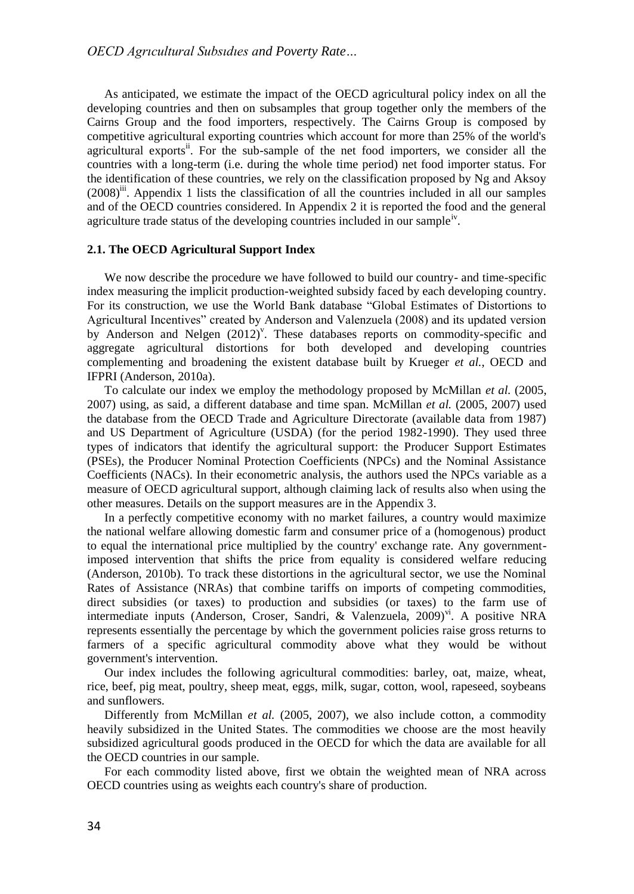As anticipated, we estimate the impact of the OECD agricultural policy index on all the developing countries and then on subsamples that group together only the members of the Cairns Group and the food importers, respectively. The Cairns Group is composed by competitive agricultural exporting countries which account for more than 25% of the world's agricultural exports<sup>ii</sup>. For the sub-sample of the net food importers, we consider all the countries with a long-term (i.e. during the whole time period) net food importer status. For the identification of these countries, we rely on the classification proposed by Ng and Aksoy (2008)<sup>ii</sup>. Appendix 1 lists the classification of all the countries included in all our samples and of the OECD countries considered. In Appendix 2 it is reported the food and the general agriculture trade status of the developing countries included in our sample<sup>iv</sup>.

#### **2.1. The OECD Agricultural Support Index**

We now describe the procedure we have followed to build our country- and time-specific index measuring the implicit production-weighted subsidy faced by each developing country. For its construction, we use the World Bank database "Global Estimates of Distortions to Agricultural Incentives" created by Anderson and Valenzuela (2008) and its updated version by Anderson and Nelgen  $(2012)^{v}$ . These databases reports on commodity-specific and aggregate agricultural distortions for both developed and developing countries complementing and broadening the existent database built by Krueger *et al.*, OECD and IFPRI (Anderson, 2010a).

To calculate our index we employ the methodology proposed by McMillan *et al.* (2005, 2007) using, as said, a different database and time span. McMillan *et al.* (2005, 2007) used the database from the OECD Trade and Agriculture Directorate (available data from 1987) and US Department of Agriculture (USDA) (for the period 1982-1990). They used three types of indicators that identify the agricultural support: the Producer Support Estimates (PSEs), the Producer Nominal Protection Coefficients (NPCs) and the Nominal Assistance Coefficients (NACs). In their econometric analysis, the authors used the NPCs variable as a measure of OECD agricultural support, although claiming lack of results also when using the other measures. Details on the support measures are in the Appendix 3.

In a perfectly competitive economy with no market failures, a country would maximize the national welfare allowing domestic farm and consumer price of a (homogenous) product to equal the international price multiplied by the country' exchange rate. Any governmentimposed intervention that shifts the price from equality is considered welfare reducing (Anderson, 2010b). To track these distortions in the agricultural sector, we use the Nominal Rates of Assistance (NRAs) that combine tariffs on imports of competing commodities, direct subsidies (or taxes) to production and subsidies (or taxes) to the farm use of intermediate inputs (Anderson, Croser, Sandri, & Valenzuela,  $2009$ )<sup>v<sub>1</sub></sup>. A positive NRA represents essentially the percentage by which the government policies raise gross returns to farmers of a specific agricultural commodity above what they would be without government's intervention.

Our index includes the following agricultural commodities: barley, oat, maize, wheat, rice, beef, pig meat, poultry, sheep meat, eggs, milk, sugar, cotton, wool, rapeseed, soybeans and sunflowers.

Differently from McMillan *et al.* (2005, 2007), we also include cotton, a commodity heavily subsidized in the United States. The commodities we choose are the most heavily subsidized agricultural goods produced in the OECD for which the data are available for all the OECD countries in our sample.

For each commodity listed above, first we obtain the weighted mean of NRA across OECD countries using as weights each country's share of production.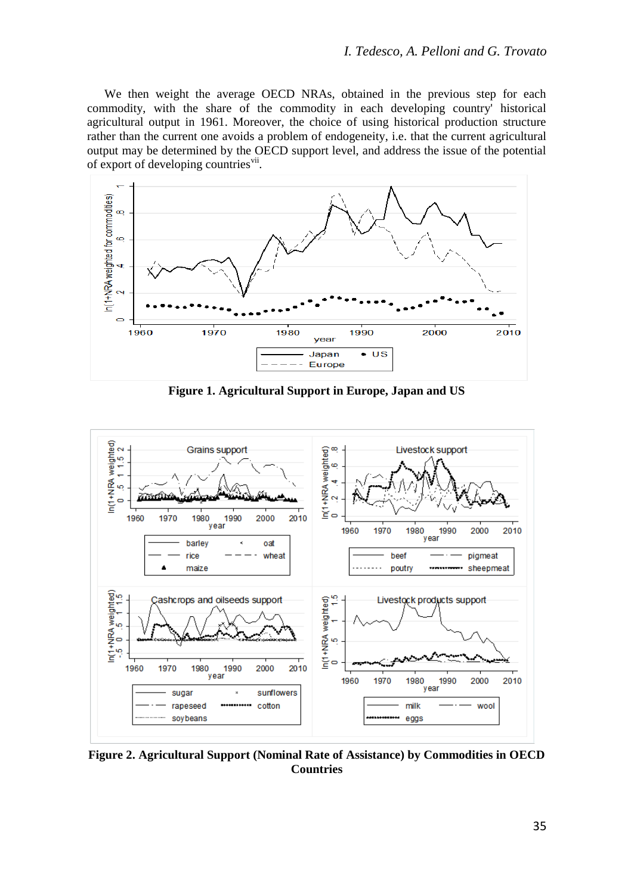We then weight the average OECD NRAs, obtained in the previous step for each commodity, with the share of the commodity in each developing country' historical agricultural output in 1961. Moreover, the choice of using historical production structure rather than the current one avoids a problem of endogeneity, i.e. that the current agricultural output may be determined by the OECD support level, and address the issue of the potential of export of developing countries<sup>vii</sup>.



**Figure 1. Agricultural Support in Europe, Japan and US**



**Figure 2. Agricultural Support (Nominal Rate of Assistance) by Commodities in OECD Countries**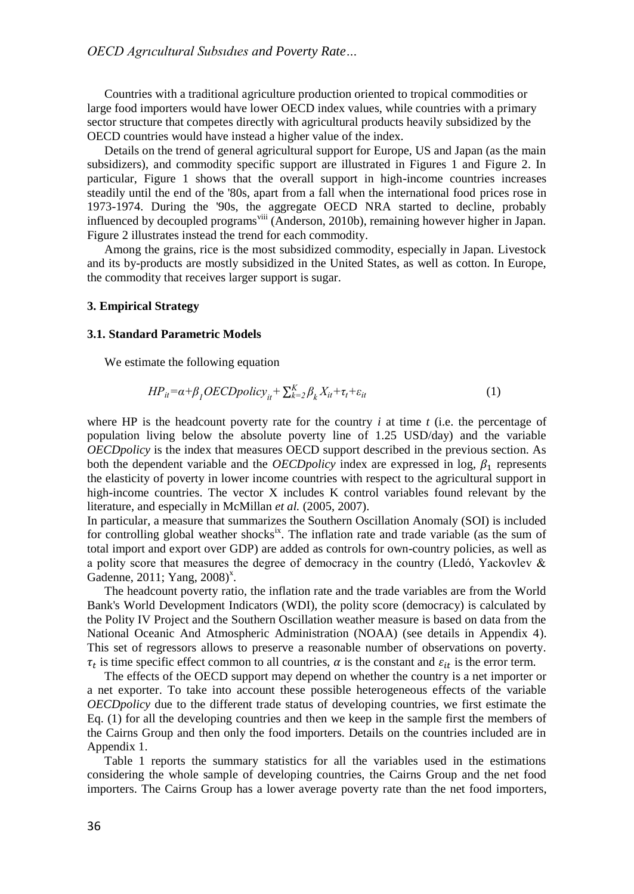Countries with a traditional agriculture production oriented to tropical commodities or large food importers would have lower OECD index values, while countries with a primary sector structure that competes directly with agricultural products heavily subsidized by the OECD countries would have instead a higher value of the index.

Details on the trend of general agricultural support for Europe, US and Japan (as the main subsidizers), and commodity specific support are illustrated in Figures 1 and Figure 2. In particular, Figure 1 shows that the overall support in high-income countries increases steadily until the end of the '80s, apart from a fall when the international food prices rose in 1973-1974. During the '90s, the aggregate OECD NRA started to decline, probably influenced by decoupled programs<sup>viii</sup> (Anderson, 2010b), remaining however higher in Japan. Figure 2 illustrates instead the trend for each commodity.

Among the grains, rice is the most subsidized commodity, especially in Japan. Livestock and its by-products are mostly subsidized in the United States, as well as cotton. In Europe, the commodity that receives larger support is sugar.

#### **3. Empirical Strategy**

### **3.1. Standard Parametric Models**

We estimate the following equation

$$
HP_{it} = \alpha + \beta_1 OECD policy_{it} + \sum_{k=2}^{K} \beta_k X_{it} + \tau_t + \varepsilon_{it}
$$
 (1)

where HP is the headcount poverty rate for the country *i* at time *t* (i.e. the percentage of population living below the absolute poverty line of 1.25 USD/day) and the variable *OECDpolicy* is the index that measures OECD support described in the previous section. As both the dependent variable and the *OECDpolicy* index are expressed in log,  $\beta_1$  represents the elasticity of poverty in lower income countries with respect to the agricultural support in high-income countries. The vector X includes K control variables found relevant by the literature, and especially in McMillan *et al.* (2005, 2007).

In particular, a measure that summarizes the Southern Oscillation Anomaly (SOI) is included for controlling global weather shocks<sup>ix</sup>. The inflation rate and trade variable (as the sum of total import and export over GDP) are added as controls for own-country policies, as well as a polity score that measures the degree of democracy in the country (Lledó, Yackovlev & Gadenne, 2011; Yang, 2008) $^x$ .

The headcount poverty ratio, the inflation rate and the trade variables are from the World Bank's World Development Indicators (WDI), the polity score (democracy) is calculated by the Polity IV Project and the Southern Oscillation weather measure is based on data from the National Oceanic And Atmospheric Administration (NOAA) (see details in Appendix 4). This set of regressors allows to preserve a reasonable number of observations on poverty.  $\tau_t$  is time specific effect common to all countries,  $\alpha$  is the constant and  $\varepsilon_{it}$  is the error term.

The effects of the OECD support may depend on whether the country is a net importer or a net exporter. To take into account these possible heterogeneous effects of the variable *OECDpolicy* due to the different trade status of developing countries, we first estimate the Eq. (1) for all the developing countries and then we keep in the sample first the members of the Cairns Group and then only the food importers. Details on the countries included are in Appendix 1.

Table 1 reports the summary statistics for all the variables used in the estimations considering the whole sample of developing countries, the Cairns Group and the net food importers. The Cairns Group has a lower average poverty rate than the net food importers,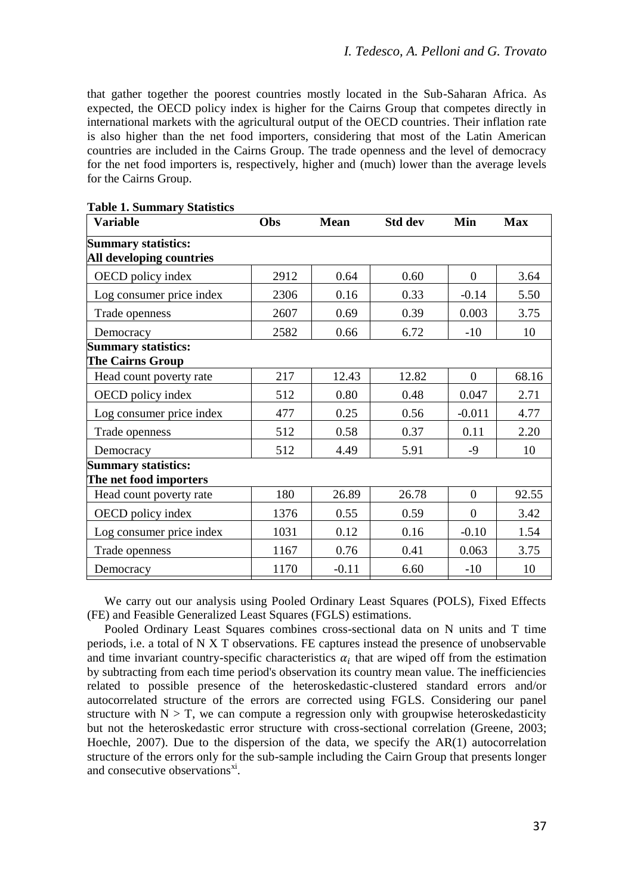that gather together the poorest countries mostly located in the Sub-Saharan Africa. As expected, the OECD policy index is higher for the Cairns Group that competes directly in international markets with the agricultural output of the OECD countries. Their inflation rate is also higher than the net food importers, considering that most of the Latin American countries are included in the Cairns Group. The trade openness and the level of democracy for the net food importers is, respectively, higher and (much) lower than the average levels for the Cairns Group.

| <b>Variable</b>                                        | Obs  | <b>Mean</b> | Std dev | Min          | Max   |
|--------------------------------------------------------|------|-------------|---------|--------------|-------|
| <b>Summary statistics:</b><br>All developing countries |      |             |         |              |       |
| OECD policy index                                      | 2912 | 0.64        | 0.60    | $\Omega$     | 3.64  |
| Log consumer price index                               | 2306 | 0.16        | 0.33    | $-0.14$      | 5.50  |
| Trade openness                                         | 2607 | 0.69        | 0.39    | 0.003        | 3.75  |
| Democracy                                              | 2582 | 0.66        | 6.72    | $-10$        | 10    |
| <b>Summary statistics:</b><br>The Cairns Group         |      |             |         |              |       |
| Head count poverty rate                                | 217  | 12.43       | 12.82   | $\Omega$     | 68.16 |
| OECD policy index                                      | 512  | 0.80        | 0.48    | 0.047        | 2.71  |
| Log consumer price index                               | 477  | 0.25        | 0.56    | $-0.011$     | 4.77  |
| Trade openness                                         | 512  | 0.58        | 0.37    | 0.11         | 2.20  |
| Democracy                                              | 512  | 4.49        | 5.91    | -9           | 10    |
| <b>Summary statistics:</b><br>The net food importers   |      |             |         |              |       |
| Head count poverty rate                                | 180  | 26.89       | 26.78   | $\mathbf{0}$ | 92.55 |
| OECD policy index                                      | 1376 | 0.55        | 0.59    | $\mathbf{0}$ | 3.42  |
| Log consumer price index                               | 1031 | 0.12        | 0.16    | $-0.10$      | 1.54  |
| Trade openness                                         | 1167 | 0.76        | 0.41    | 0.063        | 3.75  |
| Democracy                                              | 1170 | $-0.11$     | 6.60    | $-10$        | 10    |

**Table 1. Summary Statistics**

We carry out our analysis using Pooled Ordinary Least Squares (POLS), Fixed Effects (FE) and Feasible Generalized Least Squares (FGLS) estimations.

Pooled Ordinary Least Squares combines cross-sectional data on N units and T time periods, i.e. a total of N X T observations. FE captures instead the presence of unobservable and time invariant country-specific characteristics  $\alpha_i$  that are wiped off from the estimation by subtracting from each time period's observation its country mean value. The inefficiencies related to possible presence of the heteroskedastic-clustered standard errors and/or autocorrelated structure of the errors are corrected using FGLS. Considering our panel structure with  $N > T$ , we can compute a regression only with groupwise heteroskedasticity but not the heteroskedastic error structure with cross-sectional correlation (Greene, 2003; Hoechle, 2007). Due to the dispersion of the data, we specify the AR(1) autocorrelation structure of the errors only for the sub-sample including the Cairn Group that presents longer and consecutive observations<sup>xi</sup>.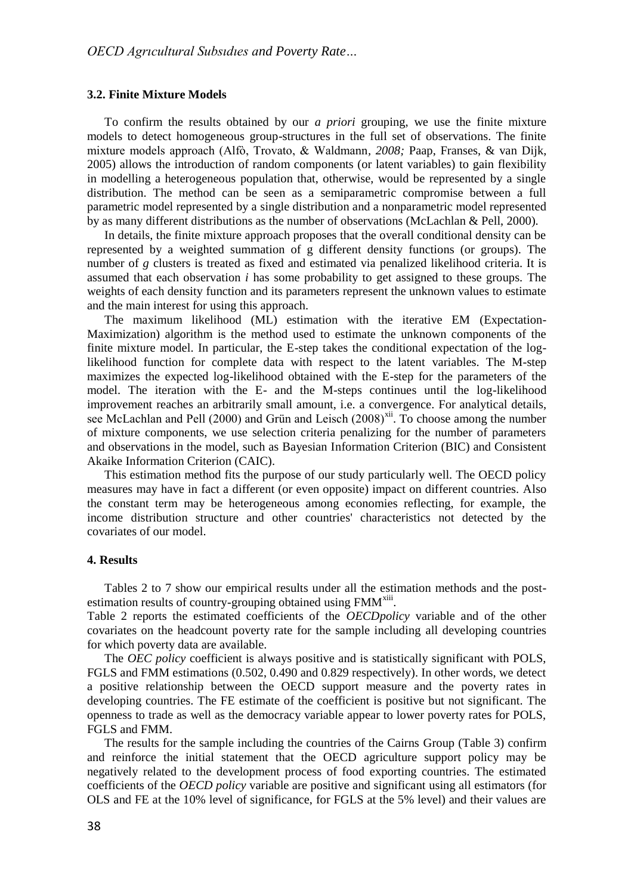#### **3.2. Finite Mixture Models**

To confirm the results obtained by our *a priori* grouping, we use the finite mixture models to detect homogeneous group-structures in the full set of observations. The finite mixture models approach (Alfò, Trovato, & Waldmann*, 2008;* Paap, Franses, & van Dijk, 2005) allows the introduction of random components (or latent variables) to gain flexibility in modelling a heterogeneous population that, otherwise, would be represented by a single distribution. The method can be seen as a semiparametric compromise between a full parametric model represented by a single distribution and a nonparametric model represented by as many different distributions as the number of observations (McLachlan & Pell, 2000).

In details, the finite mixture approach proposes that the overall conditional density can be represented by a weighted summation of g different density functions (or groups). The number of *g* clusters is treated as fixed and estimated via penalized likelihood criteria. It is assumed that each observation *i* has some probability to get assigned to these groups. The weights of each density function and its parameters represent the unknown values to estimate and the main interest for using this approach.

The maximum likelihood (ML) estimation with the iterative EM (Expectation-Maximization) algorithm is the method used to estimate the unknown components of the finite mixture model. In particular, the E-step takes the conditional expectation of the loglikelihood function for complete data with respect to the latent variables. The M-step maximizes the expected log-likelihood obtained with the E-step for the parameters of the model. The iteration with the E- and the M-steps continues until the log-likelihood improvement reaches an arbitrarily small amount, i.e. a convergence. For analytical details, see McLachlan and Pell (2000) and Grün and Leisch (2008)<sup>xii</sup>. To choose among the number of mixture components, we use selection criteria penalizing for the number of parameters and observations in the model, such as Bayesian Information Criterion (BIC) and Consistent Akaike Information Criterion (CAIC).

This estimation method fits the purpose of our study particularly well. The OECD policy measures may have in fact a different (or even opposite) impact on different countries. Also the constant term may be heterogeneous among economies reflecting, for example, the income distribution structure and other countries' characteristics not detected by the covariates of our model.

### **4. Results**

Tables 2 to 7 show our empirical results under all the estimation methods and the postestimation results of country-grouping obtained using FMM<sup>xiii</sup>.

Table 2 reports the estimated coefficients of the *OECDpolicy* variable and of the other covariates on the headcount poverty rate for the sample including all developing countries for which poverty data are available.

The *OEC policy* coefficient is always positive and is statistically significant with POLS, FGLS and FMM estimations (0.502, 0.490 and 0.829 respectively). In other words, we detect a positive relationship between the OECD support measure and the poverty rates in developing countries. The FE estimate of the coefficient is positive but not significant. The openness to trade as well as the democracy variable appear to lower poverty rates for POLS, FGLS and FMM.

The results for the sample including the countries of the Cairns Group (Table 3) confirm and reinforce the initial statement that the OECD agriculture support policy may be negatively related to the development process of food exporting countries. The estimated coefficients of the *OECD policy* variable are positive and significant using all estimators (for OLS and FE at the 10% level of significance, for FGLS at the 5% level) and their values are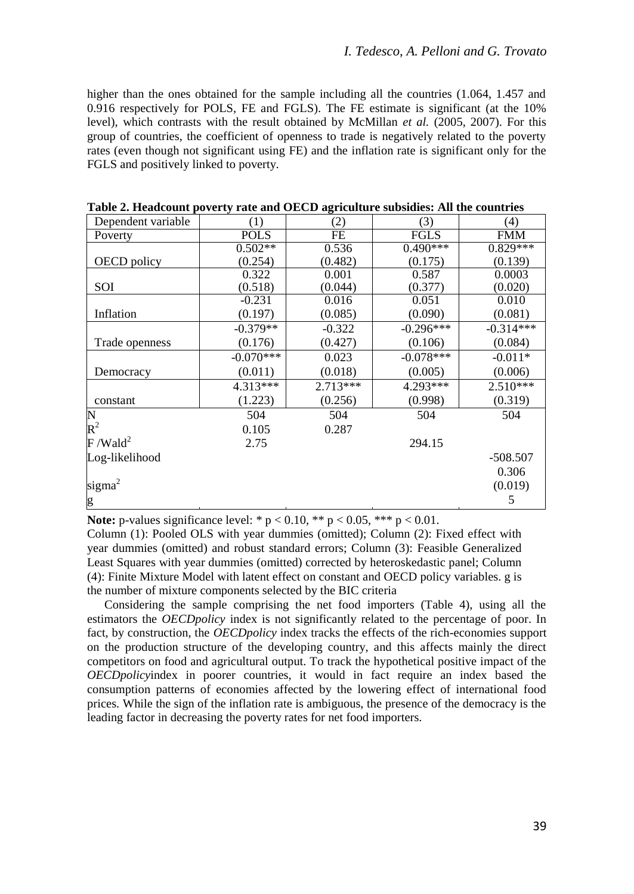higher than the ones obtained for the sample including all the countries (1.064, 1.457 and 0.916 respectively for POLS, FE and FGLS). The FE estimate is significant (at the 10% level), which contrasts with the result obtained by McMillan *et al.* (2005, 2007). For this group of countries, the coefficient of openness to trade is negatively related to the poverty rates (even though not significant using FE) and the inflation rate is significant only for the FGLS and positively linked to poverty.

| <b>POLS</b><br><b>FGLS</b><br>FE<br><b>FMM</b><br>Poverty<br>$0.829***$<br>$0.502**$<br>$0.490***$<br>0.536<br>(0.254)<br>(0.175)<br>(0.139)<br>OECD policy<br>(0.482)<br>0.322<br>0.001<br>0.587<br>0.0003<br>SOI<br>(0.518)<br>(0.020)<br>(0.044)<br>(0.377)<br>$-0.231$<br>0.016<br>0.051<br>0.010<br>Inflation<br>(0.197)<br>(0.081)<br>(0.085)<br>(0.090)<br>$-0.314***$<br>$-0.379**$<br>$-0.296***$<br>$-0.322$<br>(0.176)<br>(0.427)<br>(0.106)<br>(0.084)<br>Trade openness<br>$-0.070***$<br>$-0.078***$<br>$-0.011*$<br>0.023<br>(0.011)<br>(0.006)<br>(0.018)<br>(0.005)<br>Democracy<br>4.313***<br>$2.713***$<br>4.293***<br>$2.510***$<br>(1.223)<br>(0.256)<br>(0.998)<br>(0.319)<br>constant<br>504<br>504<br>504<br>504<br>0.105<br>0.287<br>2.75<br>294.15 | Dependent variable     | (1) | (2) | (3) | (4)        |
|-------------------------------------------------------------------------------------------------------------------------------------------------------------------------------------------------------------------------------------------------------------------------------------------------------------------------------------------------------------------------------------------------------------------------------------------------------------------------------------------------------------------------------------------------------------------------------------------------------------------------------------------------------------------------------------------------------------------------------------------------------------------------------|------------------------|-----|-----|-----|------------|
|                                                                                                                                                                                                                                                                                                                                                                                                                                                                                                                                                                                                                                                                                                                                                                               |                        |     |     |     |            |
|                                                                                                                                                                                                                                                                                                                                                                                                                                                                                                                                                                                                                                                                                                                                                                               |                        |     |     |     |            |
|                                                                                                                                                                                                                                                                                                                                                                                                                                                                                                                                                                                                                                                                                                                                                                               |                        |     |     |     |            |
|                                                                                                                                                                                                                                                                                                                                                                                                                                                                                                                                                                                                                                                                                                                                                                               |                        |     |     |     |            |
|                                                                                                                                                                                                                                                                                                                                                                                                                                                                                                                                                                                                                                                                                                                                                                               |                        |     |     |     |            |
|                                                                                                                                                                                                                                                                                                                                                                                                                                                                                                                                                                                                                                                                                                                                                                               |                        |     |     |     |            |
|                                                                                                                                                                                                                                                                                                                                                                                                                                                                                                                                                                                                                                                                                                                                                                               |                        |     |     |     |            |
|                                                                                                                                                                                                                                                                                                                                                                                                                                                                                                                                                                                                                                                                                                                                                                               |                        |     |     |     |            |
|                                                                                                                                                                                                                                                                                                                                                                                                                                                                                                                                                                                                                                                                                                                                                                               |                        |     |     |     |            |
|                                                                                                                                                                                                                                                                                                                                                                                                                                                                                                                                                                                                                                                                                                                                                                               |                        |     |     |     |            |
|                                                                                                                                                                                                                                                                                                                                                                                                                                                                                                                                                                                                                                                                                                                                                                               |                        |     |     |     |            |
|                                                                                                                                                                                                                                                                                                                                                                                                                                                                                                                                                                                                                                                                                                                                                                               |                        |     |     |     |            |
|                                                                                                                                                                                                                                                                                                                                                                                                                                                                                                                                                                                                                                                                                                                                                                               |                        |     |     |     |            |
|                                                                                                                                                                                                                                                                                                                                                                                                                                                                                                                                                                                                                                                                                                                                                                               | N                      |     |     |     |            |
|                                                                                                                                                                                                                                                                                                                                                                                                                                                                                                                                                                                                                                                                                                                                                                               | $R^2$                  |     |     |     |            |
|                                                                                                                                                                                                                                                                                                                                                                                                                                                                                                                                                                                                                                                                                                                                                                               | $F$ /Wald <sup>2</sup> |     |     |     |            |
|                                                                                                                                                                                                                                                                                                                                                                                                                                                                                                                                                                                                                                                                                                                                                                               | Log-likelihood         |     |     |     | $-508.507$ |
| 0.306                                                                                                                                                                                                                                                                                                                                                                                                                                                                                                                                                                                                                                                                                                                                                                         |                        |     |     |     |            |
| (0.019)                                                                                                                                                                                                                                                                                                                                                                                                                                                                                                                                                                                                                                                                                                                                                                       | sigma <sup>2</sup>     |     |     |     |            |
| 5                                                                                                                                                                                                                                                                                                                                                                                                                                                                                                                                                                                                                                                                                                                                                                             | g                      |     |     |     |            |

| Table 2. Headcount poverty rate and OECD agriculture subsidies: All the countries |  |  |  |  |
|-----------------------------------------------------------------------------------|--|--|--|--|
|                                                                                   |  |  |  |  |

**Note:** p-values significance level: \*  $p < 0.10$ , \*\*  $p < 0.05$ , \*\*\*  $p < 0.01$ .

Column (1): Pooled OLS with year dummies (omitted); Column (2): Fixed effect with year dummies (omitted) and robust standard errors; Column (3): Feasible Generalized Least Squares with year dummies (omitted) corrected by heteroskedastic panel; Column (4): Finite Mixture Model with latent effect on constant and OECD policy variables. g is the number of mixture components selected by the BIC criteria

Considering the sample comprising the net food importers (Table 4), using all the estimators the *OECDpolicy* index is not significantly related to the percentage of poor. In fact, by construction, the *OECDpolicy* index tracks the effects of the rich-economies support on the production structure of the developing country, and this affects mainly the direct competitors on food and agricultural output. To track the hypothetical positive impact of the *OECDpolicy*index in poorer countries, it would in fact require an index based the consumption patterns of economies affected by the lowering effect of international food prices. While the sign of the inflation rate is ambiguous, the presence of the democracy is the leading factor in decreasing the poverty rates for net food importers.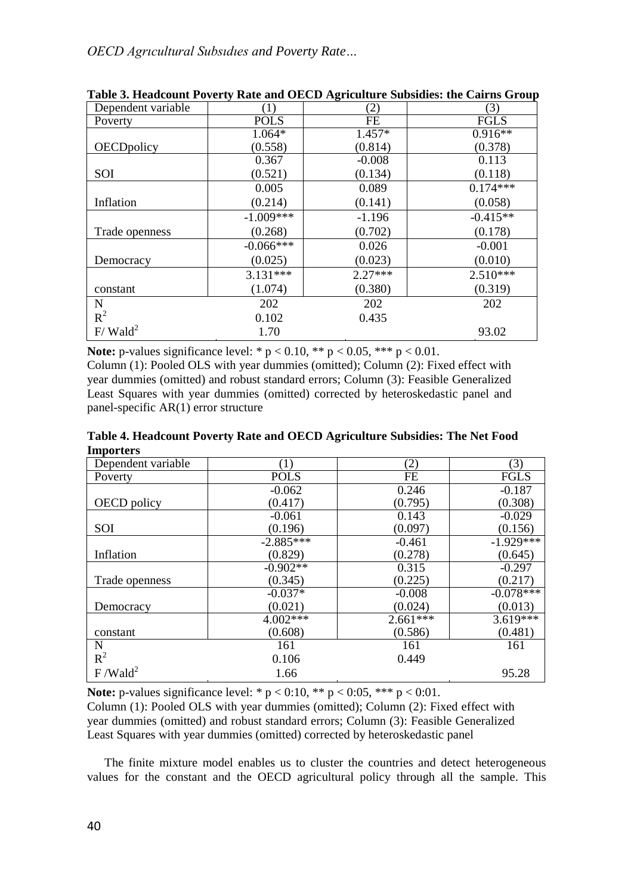| Dependent variable     | (1)         | (2)       | (3)         |
|------------------------|-------------|-----------|-------------|
| Poverty                | <b>POLS</b> | <b>FE</b> | <b>FGLS</b> |
|                        | $1.064*$    | 1.457*    | $0.916**$   |
| OECDpolicy             | (0.558)     | (0.814)   | (0.378)     |
|                        | 0.367       | $-0.008$  | 0.113       |
| <b>SOI</b>             | (0.521)     | (0.134)   | (0.118)     |
|                        | 0.005       | 0.089     | $0.174***$  |
| Inflation              | (0.214)     | (0.141)   | (0.058)     |
|                        | $-1.009***$ | $-1.196$  | $-0.415**$  |
| Trade openness         | (0.268)     | (0.702)   | (0.178)     |
|                        | $-0.066***$ | 0.026     | $-0.001$    |
| Democracy              | (0.025)     | (0.023)   | (0.010)     |
|                        | $3.131***$  | $2.27***$ | $2.510***$  |
| constant               | (1.074)     | (0.380)   | (0.319)     |
| N                      | 202         | 202       | 202         |
| $R^2$                  | 0.102       | 0.435     |             |
| $F/$ Wald <sup>2</sup> | 1.70        |           | 93.02       |

**Table 3. Headcount Poverty Rate and OECD Agriculture Subsidies: the Cairns Group**

**Note:** p-values significance level: \*  $p < 0.10$ , \*\*  $p < 0.05$ , \*\*\*  $p < 0.01$ .

Column (1): Pooled OLS with year dummies (omitted); Column (2): Fixed effect with year dummies (omitted) and robust standard errors; Column (3): Feasible Generalized Least Squares with year dummies (omitted) corrected by heteroskedastic panel and panel-specific AR(1) error structure

**Table 4. Headcount Poverty Rate and OECD Agriculture Subsidies: The Net Food Importers**

| mupor ters          |             |            |             |
|---------------------|-------------|------------|-------------|
| Dependent variable  | (1)         | (2)        | (3)         |
| Poverty             | <b>POLS</b> | FE         | <b>FGLS</b> |
|                     | $-0.062$    | 0.246      | $-0.187$    |
| OECD policy         | (0.417)     | (0.795)    | (0.308)     |
|                     | $-0.061$    | 0.143      | $-0.029$    |
| SOI                 | (0.196)     | (0.097)    | (0.156)     |
|                     | $-2.885***$ | $-0.461$   | $-1.929***$ |
| Inflation           | (0.829)     | (0.278)    | (0.645)     |
|                     | $-0.902**$  | 0.315      | $-0.297$    |
| Trade openness      | (0.345)     | (0.225)    | (0.217)     |
|                     | $-0.037*$   | $-0.008$   | $-0.078***$ |
| Democracy           | (0.021)     | (0.024)    | (0.013)     |
|                     | 4.002***    | $2.661***$ | $3.619***$  |
| constant            | (0.608)     | (0.586)    | (0.481)     |
| N                   | 161         | 161        | 161         |
| $R^2$               | 0.106       | 0.449      |             |
| F/Wald <sup>2</sup> | 1.66        |            | 95.28       |

**Note:** p-values significance level: \*  $p < 0.10$ , \*\*  $p < 0.05$ , \*\*\*  $p < 0.01$ . Column (1): Pooled OLS with year dummies (omitted); Column (2): Fixed effect with year dummies (omitted) and robust standard errors; Column (3): Feasible Generalized Least Squares with year dummies (omitted) corrected by heteroskedastic panel

The finite mixture model enables us to cluster the countries and detect heterogeneous values for the constant and the OECD agricultural policy through all the sample. This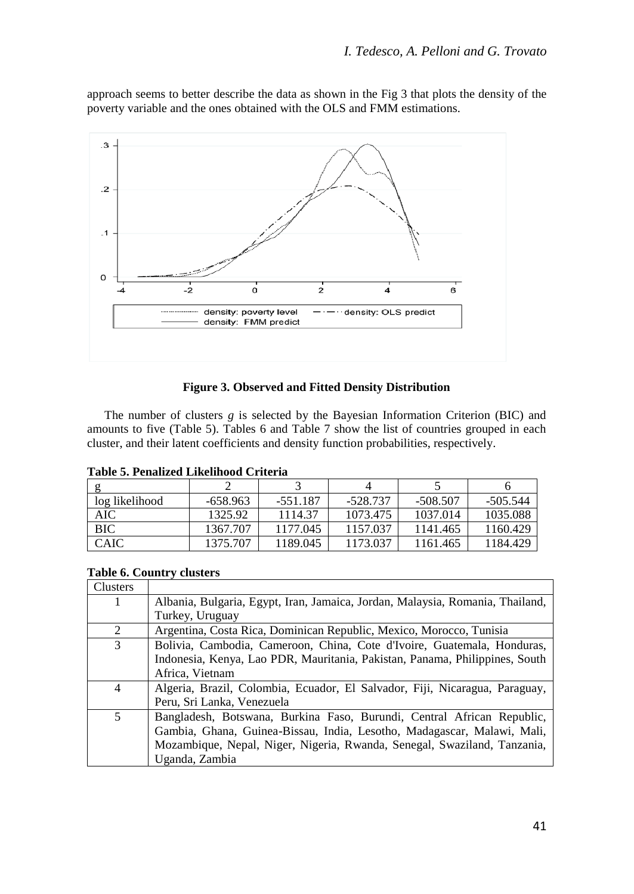approach seems to better describe the data as shown in the Fig 3 that plots the density of the poverty variable and the ones obtained with the OLS and FMM estimations.



## **Figure 3. Observed and Fitted Density Distribution**

The number of clusters *g* is selected by the Bayesian Information Criterion (BIC) and amounts to five (Table 5). Tables 6 and Table 7 show the list of countries grouped in each cluster, and their latent coefficients and density function probabilities, respectively.

|  | Table 5. Penalized Likelihood Criteria |  |
|--|----------------------------------------|--|
|  |                                        |  |

| log likelihood | -658.963 | $-551.187$ | -528.737 | -508.507 | -505.544 |
|----------------|----------|------------|----------|----------|----------|
| AIC            | 1325.92  | 1114.37    | 1073.475 | 1037.014 | 1035.088 |
| <b>BIC</b>     | 1367.707 | 1177.045   | 1157.037 | 1141.465 | 1160.429 |
| <b>CAIC</b>    | 1375.707 | 1189.045   | 1173.037 | 1161.465 | 1184.429 |

## **Table 6. Country clusters**

| Clusters |                                                                               |
|----------|-------------------------------------------------------------------------------|
|          | Albania, Bulgaria, Egypt, Iran, Jamaica, Jordan, Malaysia, Romania, Thailand, |
|          | Turkey, Uruguay                                                               |
| 2        | Argentina, Costa Rica, Dominican Republic, Mexico, Morocco, Tunisia           |
| 3        | Bolivia, Cambodia, Cameroon, China, Cote d'Ivoire, Guatemala, Honduras,       |
|          | Indonesia, Kenya, Lao PDR, Mauritania, Pakistan, Panama, Philippines, South   |
|          | Africa, Vietnam                                                               |
| 4        | Algeria, Brazil, Colombia, Ecuador, El Salvador, Fiji, Nicaragua, Paraguay,   |
|          | Peru, Sri Lanka, Venezuela                                                    |
| 5        | Bangladesh, Botswana, Burkina Faso, Burundi, Central African Republic,        |
|          | Gambia, Ghana, Guinea-Bissau, India, Lesotho, Madagascar, Malawi, Mali,       |
|          | Mozambique, Nepal, Niger, Nigeria, Rwanda, Senegal, Swaziland, Tanzania,      |
|          | Uganda, Zambia                                                                |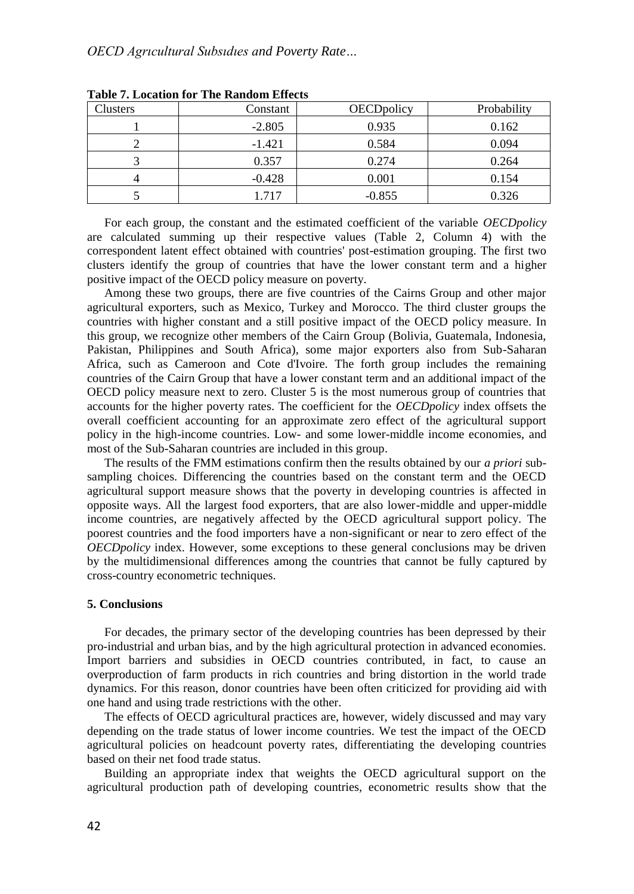| <b>Clusters</b> | Constant | <b>OECD</b> policy | Probability |
|-----------------|----------|--------------------|-------------|
|                 | $-2.805$ | 0.935              | 0.162       |
|                 | $-1.421$ | 0.584              | 0.094       |
|                 | 0.357    | 0.274              | 0.264       |
|                 | $-0.428$ | 0.001              | 0.154       |
|                 | 1.717    | $-0.855$           | 0.326       |

**Table 7. Location for The Random Effects**

For each group, the constant and the estimated coefficient of the variable *OECDpolicy* are calculated summing up their respective values (Table 2, Column 4) with the correspondent latent effect obtained with countries' post-estimation grouping. The first two clusters identify the group of countries that have the lower constant term and a higher positive impact of the OECD policy measure on poverty.

Among these two groups, there are five countries of the Cairns Group and other major agricultural exporters, such as Mexico, Turkey and Morocco. The third cluster groups the countries with higher constant and a still positive impact of the OECD policy measure. In this group, we recognize other members of the Cairn Group (Bolivia, Guatemala, Indonesia, Pakistan, Philippines and South Africa), some major exporters also from Sub-Saharan Africa, such as Cameroon and Cote d'Ivoire. The forth group includes the remaining countries of the Cairn Group that have a lower constant term and an additional impact of the OECD policy measure next to zero. Cluster 5 is the most numerous group of countries that accounts for the higher poverty rates. The coefficient for the *OECDpolicy* index offsets the overall coefficient accounting for an approximate zero effect of the agricultural support policy in the high-income countries. Low- and some lower-middle income economies, and most of the Sub-Saharan countries are included in this group.

The results of the FMM estimations confirm then the results obtained by our *a priori* subsampling choices. Differencing the countries based on the constant term and the OECD agricultural support measure shows that the poverty in developing countries is affected in opposite ways. All the largest food exporters, that are also lower-middle and upper-middle income countries, are negatively affected by the OECD agricultural support policy. The poorest countries and the food importers have a non-significant or near to zero effect of the *OECDpolicy* index. However, some exceptions to these general conclusions may be driven by the multidimensional differences among the countries that cannot be fully captured by cross-country econometric techniques.

### **5. Conclusions**

For decades, the primary sector of the developing countries has been depressed by their pro-industrial and urban bias, and by the high agricultural protection in advanced economies. Import barriers and subsidies in OECD countries contributed, in fact, to cause an overproduction of farm products in rich countries and bring distortion in the world trade dynamics. For this reason, donor countries have been often criticized for providing aid with one hand and using trade restrictions with the other.

The effects of OECD agricultural practices are, however, widely discussed and may vary depending on the trade status of lower income countries. We test the impact of the OECD agricultural policies on headcount poverty rates, differentiating the developing countries based on their net food trade status.

Building an appropriate index that weights the OECD agricultural support on the agricultural production path of developing countries, econometric results show that the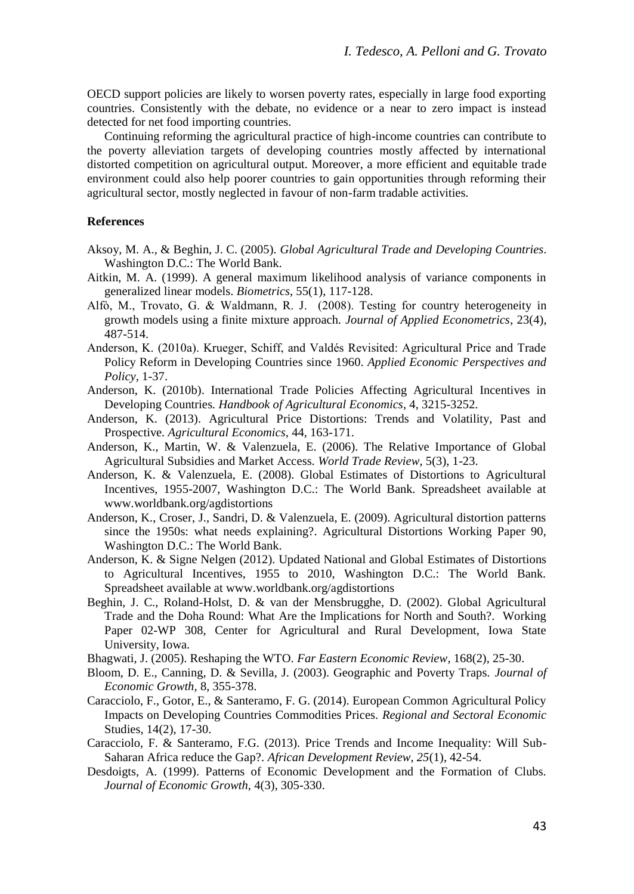OECD support policies are likely to worsen poverty rates, especially in large food exporting countries. Consistently with the debate, no evidence or a near to zero impact is instead detected for net food importing countries.

Continuing reforming the agricultural practice of high-income countries can contribute to the poverty alleviation targets of developing countries mostly affected by international distorted competition on agricultural output. Moreover, a more efficient and equitable trade environment could also help poorer countries to gain opportunities through reforming their agricultural sector, mostly neglected in favour of non-farm tradable activities.

## **References**

- Aksoy, M. A., & Beghin, J. C. (2005). *Global Agricultural Trade and Developing Countries*. Washington D.C.: The World Bank.
- Aitkin, M. A. (1999). A general maximum likelihood analysis of variance components in generalized linear models. *Biometrics*, 55(1), 117-128.
- Alfò, M., Trovato, G. & Waldmann, R. J. (2008). Testing for country heterogeneity in growth models using a finite mixture approach. *Journal of Applied Econometrics*, 23(4), 487-514.
- Anderson, K. (2010a). Krueger, Schiff, and Valdés Revisited: Agricultural Price and Trade Policy Reform in Developing Countries since 1960. *Applied Economic Perspectives and Policy*, 1-37.
- Anderson, K. (2010b). International Trade Policies Affecting Agricultural Incentives in Developing Countries*. Handbook of Agricultural Economics*, 4, 3215-3252.
- Anderson, K. (2013). Agricultural Price Distortions: Trends and Volatility, Past and Prospective. *Agricultural Economics*, 44, 163-171.
- Anderson, K., Martin, W. & Valenzuela, E. (2006). The Relative Importance of Global Agricultural Subsidies and Market Access. *World Trade Review*, 5(3), 1-23.
- Anderson, K. & Valenzuela, E. (2008). Global Estimates of Distortions to Agricultural Incentives, 1955-2007, Washington D.C.: The World Bank. Spreadsheet available at www.worldbank.org/agdistortions
- Anderson, K., Croser, J., Sandri, D. & Valenzuela, E. (2009). Agricultural distortion patterns since the 1950s: what needs explaining?. Agricultural Distortions Working Paper 90, Washington D.C.: The World Bank.
- Anderson, K. & Signe Nelgen (2012). Updated National and Global Estimates of Distortions to Agricultural Incentives, 1955 to 2010, Washington D.C.: The World Bank. Spreadsheet available at www.worldbank.org/agdistortions
- Beghin, J. C., Roland-Holst, D. & van der Mensbrugghe, D. (2002). Global Agricultural Trade and the Doha Round: What Are the Implications for North and South?. Working Paper 02-WP 308, Center for Agricultural and Rural Development, Iowa State University, Iowa.
- Bhagwati, J. (2005). Reshaping the WTO. *Far Eastern Economic Review*, 168(2), 25-30.
- Bloom, D. E., Canning, D. & Sevilla, J. (2003). Geographic and Poverty Traps. *Journal of Economic Growth,* 8, 355-378.
- Caracciolo, F., Gotor, E., & Santeramo, F. G. (2014). European Common Agricultural Policy Impacts on Developing Countries Commodities Prices. *Regional and Sectoral Economic*  Studies, 14(2), 17-30.
- Caracciolo, F. & Santeramo, F.G. (2013). Price Trends and Income Inequality: Will Sub-Saharan Africa reduce the Gap?. *African Development Review, 25*(1), 42-54.
- Desdoigts, A. (1999). Patterns of Economic Development and the Formation of Clubs. *Journal of Economic Growth,* 4(3), 305-330.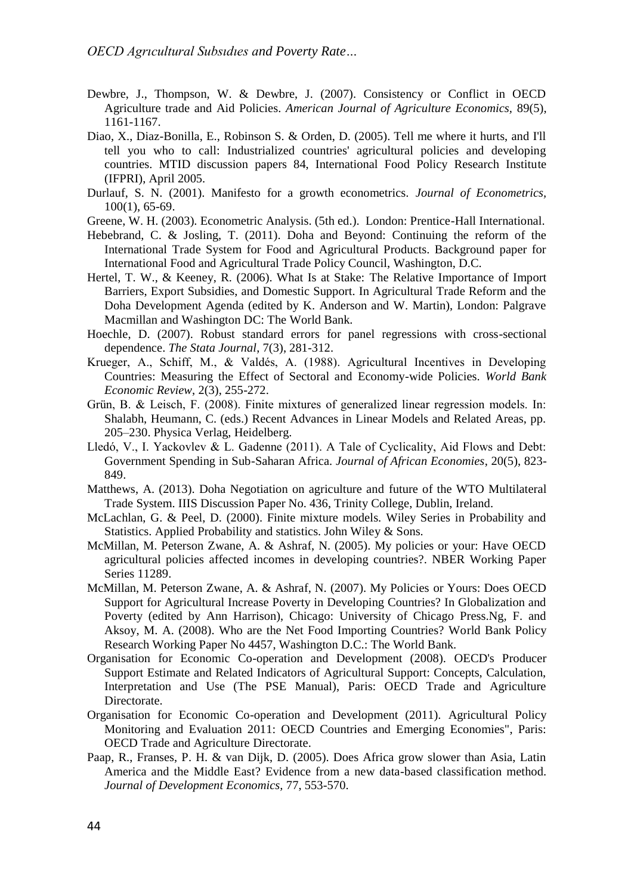- Dewbre, J., Thompson, W. & Dewbre, J. (2007). Consistency or Conflict in OECD Agriculture trade and Aid Policies. *American Journal of Agriculture Economics,* 89(5), 1161-1167.
- Diao, X., Diaz-Bonilla, E., Robinson S. & Orden, D. (2005). Tell me where it hurts, and I'll tell you who to call: Industrialized countries' agricultural policies and developing countries. MTID discussion papers 84, International Food Policy Research Institute (IFPRI), April 2005.
- Durlauf, S. N. (2001). Manifesto for a growth econometrics. *Journal of Econometrics,*  100(1), 65-69.
- Greene, W. H. (2003). Econometric Analysis. (5th ed.). London: Prentice-Hall International.
- Hebebrand, C. & Josling, T. (2011). Doha and Beyond: Continuing the reform of the International Trade System for Food and Agricultural Products. Background paper for International Food and Agricultural Trade Policy Council, Washington, D.C.
- Hertel, T. W., & Keeney, R. (2006). What Is at Stake: The Relative Importance of Import Barriers, Export Subsidies, and Domestic Support. In Agricultural Trade Reform and the Doha Development Agenda (edited by K. Anderson and W. Martin), London: Palgrave Macmillan and Washington DC: The World Bank.
- Hoechle, D. (2007). Robust standard errors for panel regressions with cross-sectional dependence. *The Stata Journal*, 7(3), 281-312.
- Krueger, A., Schiff, M., & Valdés, A. (1988). Agricultural Incentives in Developing Countries: Measuring the Effect of Sectoral and Economy-wide Policies. *World Bank Economic Review*, 2(3), 255-272.
- Grün, B. & Leisch, F. (2008). Finite mixtures of generalized linear regression models. In: Shalabh, Heumann, C. (eds.) Recent Advances in Linear Models and Related Areas, pp. 205–230. Physica Verlag, Heidelberg.
- Lledó, V., I. Yackovlev & L. Gadenne (2011). A Tale of Cyclicality, Aid Flows and Debt: Government Spending in Sub-Saharan Africa. *Journal of African Economies*, 20(5), 823- 849.
- Matthews, A. (2013). Doha Negotiation on agriculture and future of the WTO Multilateral Trade System. IIIS Discussion Paper No. 436, Trinity College, Dublin, Ireland.
- McLachlan, G. & Peel, D. (2000). Finite mixture models. Wiley Series in Probability and Statistics. Applied Probability and statistics. John Wiley & Sons.
- McMillan, M. Peterson Zwane, A. & Ashraf, N. (2005). My policies or your: Have OECD agricultural policies affected incomes in developing countries?. NBER Working Paper Series 11289.
- McMillan, M. Peterson Zwane, A. & Ashraf, N. (2007). My Policies or Yours: Does OECD Support for Agricultural Increase Poverty in Developing Countries? In Globalization and Poverty (edited by Ann Harrison), Chicago: University of Chicago Press.Ng, F. and Aksoy, M. A. (2008). Who are the Net Food Importing Countries? World Bank Policy Research Working Paper No 4457, Washington D.C.: The World Bank.
- Organisation for Economic Co-operation and Development (2008). OECD's Producer Support Estimate and Related Indicators of Agricultural Support: Concepts, Calculation, Interpretation and Use (The PSE Manual), Paris: OECD Trade and Agriculture Directorate.
- Organisation for Economic Co-operation and Development (2011). Agricultural Policy Monitoring and Evaluation 2011: OECD Countries and Emerging Economies", Paris: OECD Trade and Agriculture Directorate.
- Paap, R., Franses, P. H. & van Dijk, D. (2005). Does Africa grow slower than Asia, Latin America and the Middle East? Evidence from a new data-based classification method. *Journal of Development Economics,* 77, 553-570.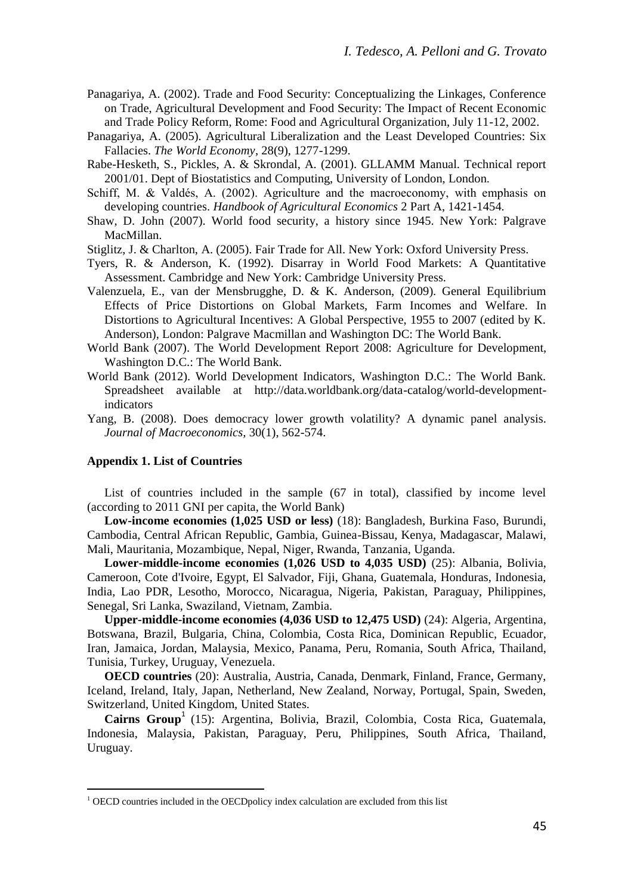- Panagariya, A. (2002). Trade and Food Security: Conceptualizing the Linkages, Conference on Trade, Agricultural Development and Food Security: The Impact of Recent Economic and Trade Policy Reform, Rome: Food and Agricultural Organization, July 11-12, 2002.
- Panagariya, A. (2005). Agricultural Liberalization and the Least Developed Countries: Six Fallacies. *The World Economy*, 28(9), 1277-1299.
- Rabe-Hesketh, S., Pickles, A. & Skrondal, A. (2001). GLLAMM Manual. Technical report 2001/01. Dept of Biostatistics and Computing, University of London, London.
- Schiff, M. & Valdés, A. (2002). Agriculture and the macroeconomy, with emphasis on developing countries. *Handbook of Agricultural Economics* 2 Part A, 1421-1454.
- Shaw, D. John (2007). World food security, a history since 1945. New York: Palgrave MacMillan.
- Stiglitz, J. & Charlton, A. (2005). Fair Trade for All. New York: Oxford University Press.
- Tyers, R. & Anderson, K. (1992). Disarray in World Food Markets: A Quantitative Assessment. Cambridge and New York: Cambridge University Press.
- Valenzuela, E., van der Mensbrugghe, D. & K. Anderson, (2009). General Equilibrium Effects of Price Distortions on Global Markets, Farm Incomes and Welfare. In Distortions to Agricultural Incentives: A Global Perspective, 1955 to 2007 (edited by K. Anderson), London: Palgrave Macmillan and Washington DC: The World Bank.
- World Bank (2007). The World Development Report 2008: Agriculture for Development, Washington D.C.: The World Bank.
- World Bank (2012). World Development Indicators, Washington D.C.: The World Bank. Spreadsheet available at http://data.worldbank.org/data-catalog/world-developmentindicators
- Yang, B. (2008). Does democracy lower growth volatility? A dynamic panel analysis. *Journal of Macroeconomics,* 30(1), 562-574.

#### **Appendix 1. List of Countries**

 $\overline{\phantom{a}}$ 

List of countries included in the sample (67 in total), classified by income level (according to 2011 GNI per capita, the World Bank)

**Low-income economies (1,025 USD or less)** (18): Bangladesh, Burkina Faso, Burundi, Cambodia, Central African Republic, Gambia, Guinea-Bissau, Kenya, Madagascar, Malawi, Mali, Mauritania, Mozambique, Nepal, Niger, Rwanda, Tanzania, Uganda.

**Lower-middle-income economies (1,026 USD to 4,035 USD)** (25): Albania, Bolivia, Cameroon, Cote d'Ivoire, Egypt, El Salvador, Fiji, Ghana, Guatemala, Honduras, Indonesia, India, Lao PDR, Lesotho, Morocco, Nicaragua, Nigeria, Pakistan, Paraguay, Philippines, Senegal, Sri Lanka, Swaziland, Vietnam, Zambia.

**Upper-middle-income economies (4,036 USD to 12,475 USD)** (24): Algeria, Argentina, Botswana, Brazil, Bulgaria, China, Colombia, Costa Rica, Dominican Republic, Ecuador, Iran, Jamaica, Jordan, Malaysia, Mexico, Panama, Peru, Romania, South Africa, Thailand, Tunisia, Turkey, Uruguay, Venezuela.

**OECD countries** (20): Australia, Austria, Canada, Denmark, Finland, France, Germany, Iceland, Ireland, Italy, Japan, Netherland, New Zealand, Norway, Portugal, Spain, Sweden, Switzerland, United Kingdom, United States.

Cairns Group<sup>1</sup> (15): Argentina, Bolivia, Brazil, Colombia, Costa Rica, Guatemala, Indonesia, Malaysia, Pakistan, Paraguay, Peru, Philippines, South Africa, Thailand, Uruguay.

<sup>&</sup>lt;sup>1</sup> OECD countries included in the OECDpolicy index calculation are excluded from this list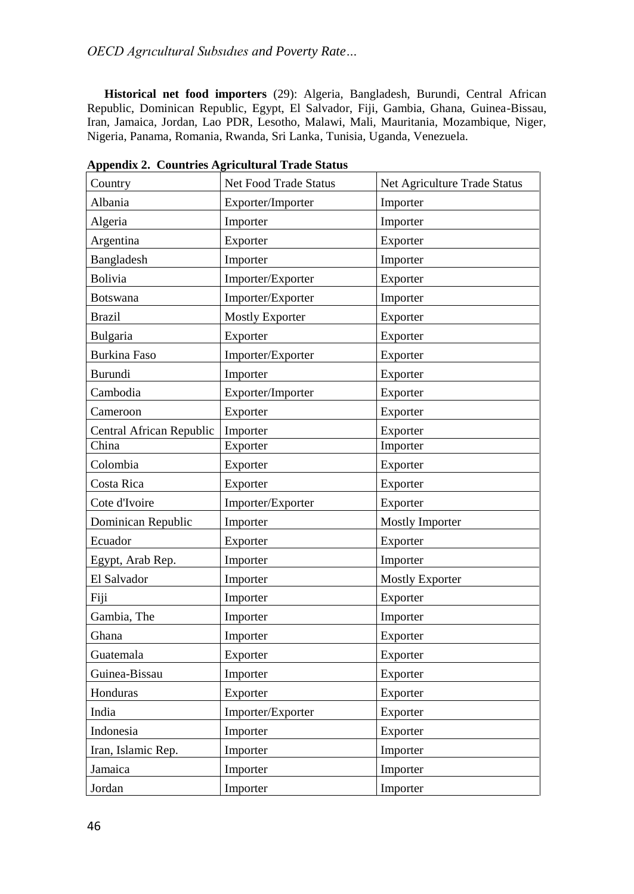**Historical net food importers** (29): Algeria, Bangladesh, Burundi, Central African Republic, Dominican Republic, Egypt, El Salvador, Fiji, Gambia, Ghana, Guinea-Bissau, Iran, Jamaica, Jordan, Lao PDR, Lesotho, Malawi, Mali, Mauritania, Mozambique, Niger, Nigeria, Panama, Romania, Rwanda, Sri Lanka, Tunisia, Uganda, Venezuela.

| Country                  | Net Food Trade Status  | Net Agriculture Trade Status |
|--------------------------|------------------------|------------------------------|
| Albania                  | Exporter/Importer      | Importer                     |
| Algeria                  | Importer               | Importer                     |
| Argentina                | Exporter               | Exporter                     |
| Bangladesh               | Importer               | Importer                     |
| <b>Bolivia</b>           | Importer/Exporter      | Exporter                     |
| Botswana                 | Importer/Exporter      | Importer                     |
| <b>Brazil</b>            | <b>Mostly Exporter</b> | Exporter                     |
| Bulgaria                 | Exporter               | Exporter                     |
| <b>Burkina Faso</b>      | Importer/Exporter      | Exporter                     |
| Burundi                  | Importer               | Exporter                     |
| Cambodia                 | Exporter/Importer      | Exporter                     |
| Cameroon                 | Exporter               | Exporter                     |
| Central African Republic | Importer               | Exporter                     |
| China                    | Exporter               | Importer                     |
| Colombia                 | Exporter               | Exporter                     |
| Costa Rica               | Exporter               | Exporter                     |
| Cote d'Ivoire            | Importer/Exporter      | Exporter                     |
| Dominican Republic       | Importer               | <b>Mostly Importer</b>       |
| Ecuador                  | Exporter               | Exporter                     |
| Egypt, Arab Rep.         | Importer               | Importer                     |
| El Salvador              | Importer               | <b>Mostly Exporter</b>       |
| Fiji                     | Importer               | Exporter                     |
| Gambia, The              | Importer               | Importer                     |
| Ghana                    | Importer               | Exporter                     |
| Guatemala                | Exporter               | Exporter                     |
| Guinea-Bissau            | Importer               | Exporter                     |
| Honduras                 | Exporter               | Exporter                     |
| India                    | Importer/Exporter      | Exporter                     |
| Indonesia                | Importer               | Exporter                     |
| Iran, Islamic Rep.       | Importer               | Importer                     |
| Jamaica                  | Importer               | Importer                     |
| Jordan                   | Importer               | Importer                     |

**Appendix 2. Countries Agricultural Trade Status**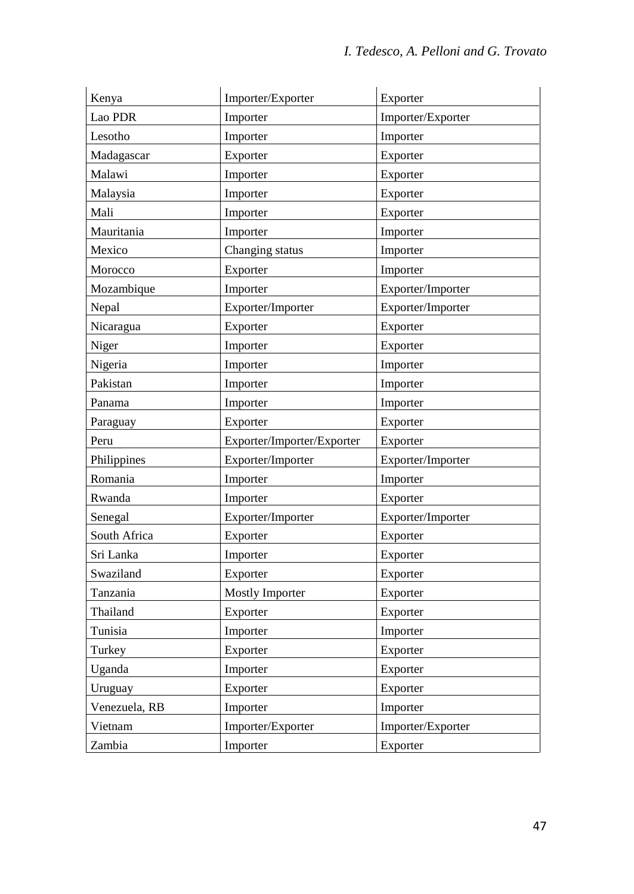| Kenya         | Importer/Exporter          | Exporter          |
|---------------|----------------------------|-------------------|
| Lao PDR       | Importer                   | Importer/Exporter |
| Lesotho       | Importer                   | Importer          |
| Madagascar    | Exporter                   | Exporter          |
| Malawi        | Importer                   | Exporter          |
| Malaysia      | Importer                   | Exporter          |
| Mali          | Importer                   | Exporter          |
| Mauritania    | Importer                   | Importer          |
| Mexico        | Changing status            | Importer          |
| Morocco       | Exporter                   | Importer          |
| Mozambique    | Importer                   | Exporter/Importer |
| Nepal         | Exporter/Importer          | Exporter/Importer |
| Nicaragua     | Exporter                   | Exporter          |
| Niger         | Importer                   | Exporter          |
| Nigeria       | Importer                   | Importer          |
| Pakistan      | Importer                   | Importer          |
| Panama        | Importer                   | Importer          |
| Paraguay      | Exporter                   | Exporter          |
| Peru          | Exporter/Importer/Exporter | Exporter          |
| Philippines   | Exporter/Importer          | Exporter/Importer |
| Romania       | Importer                   | Importer          |
| Rwanda        | Importer                   | Exporter          |
| Senegal       | Exporter/Importer          | Exporter/Importer |
| South Africa  | Exporter                   | Exporter          |
| Sri Lanka     | Importer                   | Exporter          |
| Swaziland     | Exporter                   | Exporter          |
| Tanzania      | <b>Mostly Importer</b>     | Exporter          |
| Thailand      | Exporter                   | Exporter          |
| Tunisia       | Importer                   | Importer          |
| Turkey        | Exporter                   | Exporter          |
| Uganda        | Importer                   | Exporter          |
| Uruguay       | Exporter                   | Exporter          |
| Venezuela, RB | Importer                   | Importer          |
| Vietnam       | Importer/Exporter          | Importer/Exporter |
| Zambia        | Importer                   | Exporter          |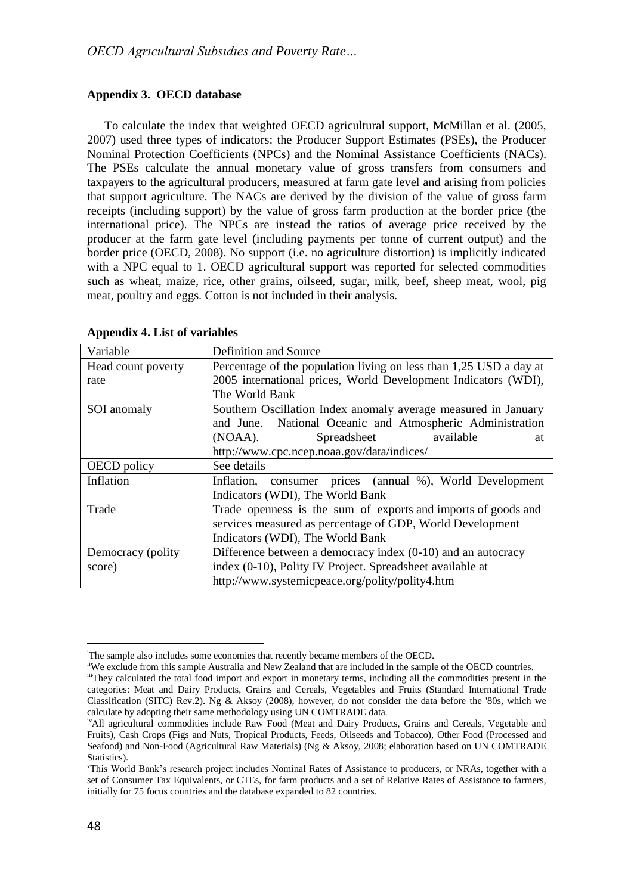## **Appendix 3. OECD database**

To calculate the index that weighted OECD agricultural support, McMillan et al. (2005, 2007) used three types of indicators: the Producer Support Estimates (PSEs), the Producer Nominal Protection Coefficients (NPCs) and the Nominal Assistance Coefficients (NACs). The PSEs calculate the annual monetary value of gross transfers from consumers and taxpayers to the agricultural producers, measured at farm gate level and arising from policies that support agriculture. The NACs are derived by the division of the value of gross farm receipts (including support) by the value of gross farm production at the border price (the international price). The NPCs are instead the ratios of average price received by the producer at the farm gate level (including payments per tonne of current output) and the border price (OECD, 2008). No support (i.e. no agriculture distortion) is implicitly indicated with a NPC equal to 1. OECD agricultural support was reported for selected commodities such as wheat, maize, rice, other grains, oilseed, sugar, milk, beef, sheep meat, wool, pig meat, poultry and eggs. Cotton is not included in their analysis.

| Variable           | Definition and Source                                              |
|--------------------|--------------------------------------------------------------------|
| Head count poverty | Percentage of the population living on less than 1,25 USD a day at |
| rate               | 2005 international prices, World Development Indicators (WDI),     |
|                    | The World Bank                                                     |
| SOI anomaly        | Southern Oscillation Index anomaly average measured in January     |
|                    | and June. National Oceanic and Atmospheric Administration          |
|                    | available<br>(NOAA).<br>Spreadsheet<br>at                          |
|                    | http://www.cpc.ncep.noaa.gov/data/indices/                         |
| OECD policy        | See details                                                        |
| Inflation          | consumer prices (annual %), World Development<br>Inflation.        |
|                    | Indicators (WDI), The World Bank                                   |
| Trade              | Trade openness is the sum of exports and imports of goods and      |
|                    | services measured as percentage of GDP, World Development          |
|                    | Indicators (WDI), The World Bank                                   |
| Democracy (polity) | Difference between a democracy index (0-10) and an autocracy       |
| score)             | index (0-10), Polity IV Project. Spreadsheet available at          |
|                    | http://www.systemicpeace.org/polity/polity4.htm                    |

### **Appendix 4. List of variables**

 $\overline{\phantom{a}}$ 

<sup>&</sup>lt;sup>i</sup>The sample also includes some economies that recently became members of the OECD.

iiWe exclude from this sample Australia and New Zealand that are included in the sample of the OECD countries. iiiThey calculated the total food import and export in monetary terms, including all the commodities present in the categories: Meat and Dairy Products, Grains and Cereals, Vegetables and Fruits (Standard International Trade Classification (SITC) Rev.2). Ng & Aksoy (2008), however, do not consider the data before the '80s, which we calculate by adopting their same methodology using UN COMTRADE data.

<sup>&</sup>lt;sup>iv</sup>All agricultural commodities include Raw Food (Meat and Dairy Products, Grains and Cereals, Vegetable and Fruits), Cash Crops (Figs and Nuts, Tropical Products, Feeds, Oilseeds and Tobacco), Other Food (Processed and Seafood) and Non-Food (Agricultural Raw Materials) (Ng & Aksoy, 2008; elaboration based on UN COMTRADE Statistics).

<sup>v</sup>This World Bank's research project includes Nominal Rates of Assistance to producers, or NRAs, together with a set of Consumer Tax Equivalents, or CTEs, for farm products and a set of Relative Rates of Assistance to farmers, initially for 75 focus countries and the database expanded to 82 countries.